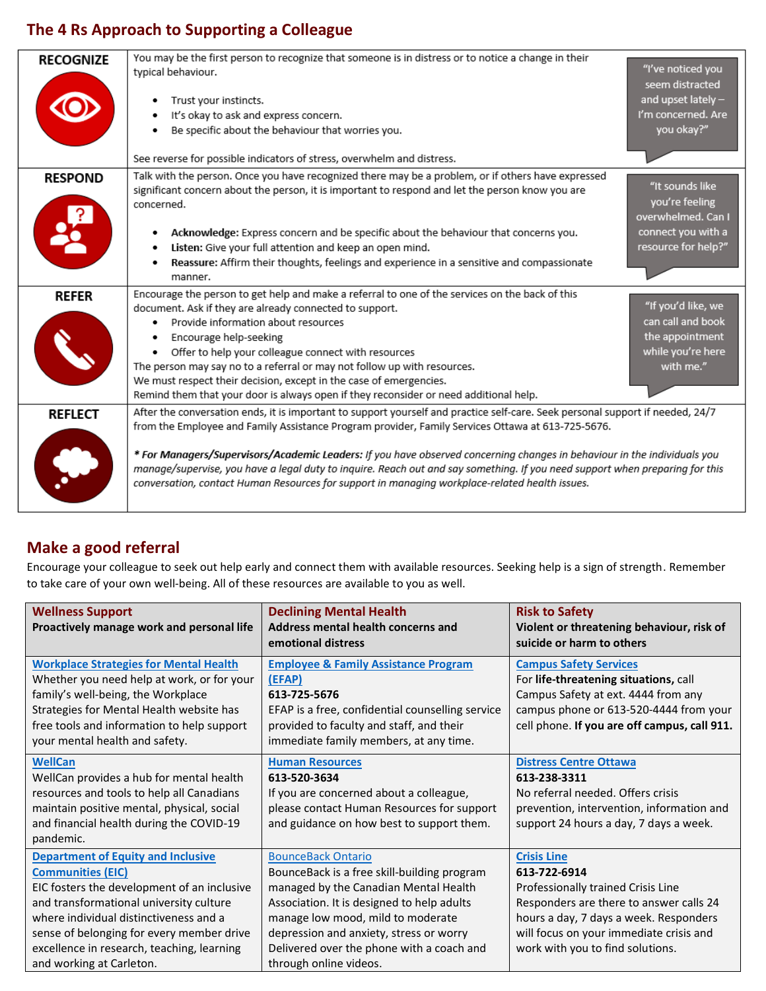## **The 4 Rs Approach to Supporting a Colleague**

| <b>RECOGNIZE</b> | You may be the first person to recognize that someone is in distress or to notice a change in their<br>typical behaviour.<br>Trust your instincts.<br>It's okay to ask and express concern.<br>Be specific about the behaviour that worries you.<br>See reverse for possible indicators of stress, overwhelm and distress.                                                                                                                                                                                                                                                                        | "I've noticed you<br>seem distracted<br>and upset lately -<br>I'm concerned. Are<br>you okay?" |
|------------------|---------------------------------------------------------------------------------------------------------------------------------------------------------------------------------------------------------------------------------------------------------------------------------------------------------------------------------------------------------------------------------------------------------------------------------------------------------------------------------------------------------------------------------------------------------------------------------------------------|------------------------------------------------------------------------------------------------|
|                  |                                                                                                                                                                                                                                                                                                                                                                                                                                                                                                                                                                                                   |                                                                                                |
| <b>RESPOND</b>   | Talk with the person. Once you have recognized there may be a problem, or if others have expressed<br>significant concern about the person, it is important to respond and let the person know you are<br>concerned.<br>Acknowledge: Express concern and be specific about the behaviour that concerns you.                                                                                                                                                                                                                                                                                       | "It sounds like<br>you're feeling<br>overwhelmed. Can I<br>connect you with a                  |
|                  | Listen: Give your full attention and keep an open mind.<br>Reassure: Affirm their thoughts, feelings and experience in a sensitive and compassionate<br>manner.                                                                                                                                                                                                                                                                                                                                                                                                                                   | resource for help?"                                                                            |
| <b>REFER</b>     | Encourage the person to get help and make a referral to one of the services on the back of this<br>document. Ask if they are already connected to support.<br>Provide information about resources<br>Encourage help-seeking<br>Offer to help your colleague connect with resources<br>The person may say no to a referral or may not follow up with resources.<br>We must respect their decision, except in the case of emergencies.<br>Remind them that your door is always open if they reconsider or need additional help.                                                                     | "If you'd like, we<br>can call and book<br>the appointment<br>while you're here<br>with me."   |
| <b>REFLECT</b>   | After the conversation ends, it is important to support yourself and practice self-care. Seek personal support if needed, 24/7<br>from the Employee and Family Assistance Program provider, Family Services Ottawa at 613-725-5676.<br>* For Managers/Supervisors/Academic Leaders: If you have observed concerning changes in behaviour in the individuals you<br>manage/supervise, you have a legal duty to inquire. Reach out and say something. If you need support when preparing for this<br>conversation, contact Human Resources for support in managing workplace-related health issues. |                                                                                                |

## **Make a good referral**

Encourage your colleague to seek out help early and connect them with available resources. Seeking help is a sign of strength. Remember to take care of your own well-being. All of these resources are available to you as well.

| <b>Wellness Support</b><br>Proactively manage work and personal life                                                                                                                                                                                                                                                             | <b>Declining Mental Health</b><br><b>Address mental health concerns and</b><br>emotional distress                                                                                                                                                                                                                      | <b>Risk to Safety</b><br>Violent or threatening behaviour, risk of<br>suicide or harm to others                                                                                                                                              |
|----------------------------------------------------------------------------------------------------------------------------------------------------------------------------------------------------------------------------------------------------------------------------------------------------------------------------------|------------------------------------------------------------------------------------------------------------------------------------------------------------------------------------------------------------------------------------------------------------------------------------------------------------------------|----------------------------------------------------------------------------------------------------------------------------------------------------------------------------------------------------------------------------------------------|
| <b>Workplace Strategies for Mental Health</b><br>Whether you need help at work, or for your<br>family's well-being, the Workplace<br>Strategies for Mental Health website has<br>free tools and information to help support<br>your mental health and safety.                                                                    | <b>Employee &amp; Family Assistance Program</b><br>(EFAP)<br>613-725-5676<br>EFAP is a free, confidential counselling service<br>provided to faculty and staff, and their<br>immediate family members, at any time.                                                                                                    | <b>Campus Safety Services</b><br>For life-threatening situations, call<br>Campus Safety at ext. 4444 from any<br>campus phone or 613-520-4444 from your<br>cell phone. If you are off campus, call 911.                                      |
| <b>WellCan</b><br>WellCan provides a hub for mental health<br>resources and tools to help all Canadians<br>maintain positive mental, physical, social<br>and financial health during the COVID-19<br>pandemic.                                                                                                                   | <b>Human Resources</b><br>613-520-3634<br>If you are concerned about a colleague,<br>please contact Human Resources for support<br>and guidance on how best to support them.                                                                                                                                           | <b>Distress Centre Ottawa</b><br>613-238-3311<br>No referral needed. Offers crisis<br>prevention, intervention, information and<br>support 24 hours a day, 7 days a week.                                                                    |
| <b>Department of Equity and Inclusive</b><br><b>Communities (EIC)</b><br>EIC fosters the development of an inclusive<br>and transformational university culture<br>where individual distinctiveness and a<br>sense of belonging for every member drive<br>excellence in research, teaching, learning<br>and working at Carleton. | <b>BounceBack Ontario</b><br>BounceBack is a free skill-building program<br>managed by the Canadian Mental Health<br>Association. It is designed to help adults<br>manage low mood, mild to moderate<br>depression and anxiety, stress or worry<br>Delivered over the phone with a coach and<br>through online videos. | <b>Crisis Line</b><br>613-722-6914<br>Professionally trained Crisis Line<br>Responders are there to answer calls 24<br>hours a day, 7 days a week. Responders<br>will focus on your immediate crisis and<br>work with you to find solutions. |